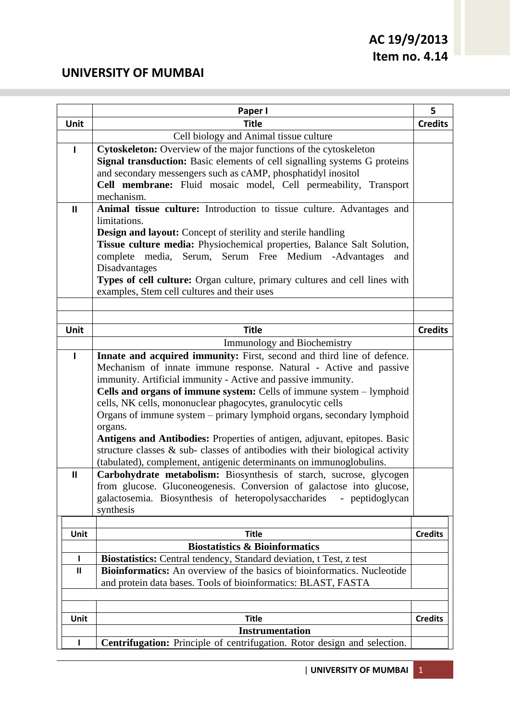## **UNIVERSITY OF MUMBAI**

|               | Paper I                                                                                                                              | 5              |
|---------------|--------------------------------------------------------------------------------------------------------------------------------------|----------------|
| Unit          | <b>Title</b>                                                                                                                         | <b>Credits</b> |
|               | Cell biology and Animal tissue culture                                                                                               |                |
| ı             | Cytoskeleton: Overview of the major functions of the cytoskeleton                                                                    |                |
|               | Signal transduction: Basic elements of cell signalling systems G proteins                                                            |                |
|               | and secondary messengers such as cAMP, phosphatidyl inositol                                                                         |                |
|               | Cell membrane: Fluid mosaic model, Cell permeability, Transport                                                                      |                |
|               | mechanism.                                                                                                                           |                |
| $\mathbf{II}$ | Animal tissue culture: Introduction to tissue culture. Advantages and                                                                |                |
|               | limitations.                                                                                                                         |                |
|               | <b>Design and layout:</b> Concept of sterility and sterile handling                                                                  |                |
|               | Tissue culture media: Physiochemical properties, Balance Salt Solution,                                                              |                |
|               | complete media, Serum, Serum Free Medium -Advantages<br>and                                                                          |                |
|               | Disadvantages                                                                                                                        |                |
|               | Types of cell culture: Organ culture, primary cultures and cell lines with                                                           |                |
|               | examples, Stem cell cultures and their uses                                                                                          |                |
|               |                                                                                                                                      |                |
|               |                                                                                                                                      |                |
| Unit          | <b>Title</b>                                                                                                                         | <b>Credits</b> |
|               | Immunology and Biochemistry                                                                                                          |                |
| $\mathbf{I}$  | Innate and acquired immunity: First, second and third line of defence.                                                               |                |
|               | Mechanism of innate immune response. Natural - Active and passive                                                                    |                |
|               | immunity. Artificial immunity - Active and passive immunity.                                                                         |                |
|               | Cells and organs of immune system: Cells of immune system - lymphoid                                                                 |                |
|               | cells, NK cells, mononuclear phagocytes, granulocytic cells<br>Organs of immune system – primary lymphoid organs, secondary lymphoid |                |
|               | organs.                                                                                                                              |                |
|               | Antigens and Antibodies: Properties of antigen, adjuvant, epitopes. Basic                                                            |                |
|               | structure classes $\&$ sub-classes of antibodies with their biological activity                                                      |                |
|               | (tabulated), complement, antigenic determinants on immunoglobulins.                                                                  |                |
| $\mathbf{I}$  | Carbohydrate metabolism: Biosynthesis of starch, sucrose, glycogen                                                                   |                |
|               | from glucose. Gluconeogenesis. Conversion of galactose into glucose,                                                                 |                |
|               | galactosemia. Biosynthesis of heteropolysaccharides<br>- peptidoglycan                                                               |                |
|               | synthesis                                                                                                                            |                |
|               |                                                                                                                                      |                |
| Unit          | <b>Title</b>                                                                                                                         | <b>Credits</b> |
|               | <b>Biostatistics &amp; Bioinformatics</b>                                                                                            |                |
| L             | Biostatistics: Central tendency, Standard deviation, t Test, z test                                                                  |                |
| $\mathbf{I}$  | <b>Bioinformatics:</b> An overview of the basics of bioinformatics. Nucleotide                                                       |                |
|               | and protein data bases. Tools of bioinformatics: BLAST, FASTA                                                                        |                |
|               |                                                                                                                                      |                |
|               |                                                                                                                                      |                |
| Unit          | <b>Title</b>                                                                                                                         | <b>Credits</b> |
|               | <b>Instrumentation</b>                                                                                                               |                |
| L             | <b>Centrifugation:</b> Principle of centrifugation. Rotor design and selection.                                                      |                |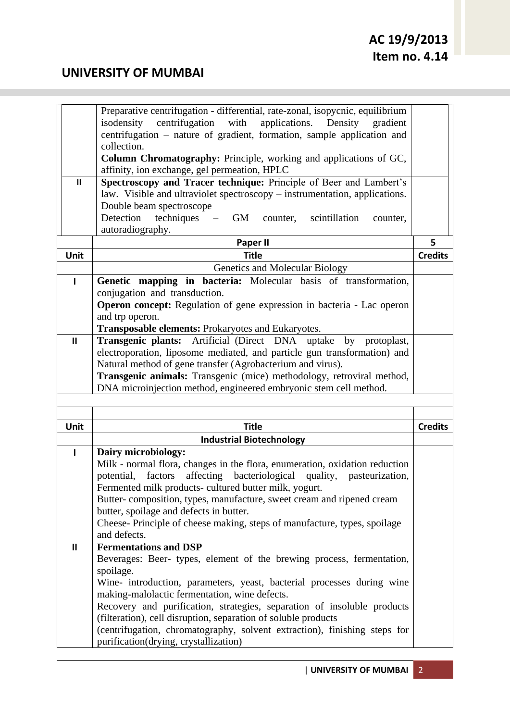|               | Preparative centrifugation - differential, rate-zonal, isopycnic, equilibrium                                                               |                |
|---------------|---------------------------------------------------------------------------------------------------------------------------------------------|----------------|
|               | centrifugation with<br>applications. Density<br>isodensity<br>gradient                                                                      |                |
|               | centrifugation - nature of gradient, formation, sample application and                                                                      |                |
|               | collection.                                                                                                                                 |                |
|               | Column Chromatography: Principle, working and applications of GC,                                                                           |                |
|               | affinity, ion exchange, gel permeation, HPLC                                                                                                |                |
| $\mathbf{II}$ | Spectroscopy and Tracer technique: Principle of Beer and Lambert's                                                                          |                |
|               | law. Visible and ultraviolet spectroscopy – instrumentation, applications.                                                                  |                |
|               | Double beam spectroscope                                                                                                                    |                |
|               | Detection<br>$techniques - GM$<br>scintillation<br>counter,<br>counter,                                                                     |                |
|               | autoradiography.                                                                                                                            |                |
|               | Paper II                                                                                                                                    | 5              |
| Unit          | <b>Title</b>                                                                                                                                | <b>Credits</b> |
|               | Genetics and Molecular Biology                                                                                                              |                |
| ı             | Genetic mapping in bacteria: Molecular basis of transformation,                                                                             |                |
|               | conjugation and transduction.                                                                                                               |                |
|               | <b>Operon concept:</b> Regulation of gene expression in bacteria - Lac operon                                                               |                |
|               | and trp operon.                                                                                                                             |                |
|               | Transposable elements: Prokaryotes and Eukaryotes.                                                                                          |                |
| $\mathbf{I}$  | Transgenic plants: Artificial (Direct DNA uptake by protoplast,                                                                             |                |
|               | electroporation, liposome mediated, and particle gun transformation) and                                                                    |                |
|               | Natural method of gene transfer (Agrobacterium and virus).                                                                                  |                |
|               | Transgenic animals: Transgenic (mice) methodology, retroviral method,                                                                       |                |
|               | DNA microinjection method, engineered embryonic stem cell method.                                                                           |                |
|               |                                                                                                                                             |                |
|               |                                                                                                                                             |                |
| Unit          | <b>Title</b>                                                                                                                                | <b>Credits</b> |
|               | <b>Industrial Biotechnology</b>                                                                                                             |                |
| $\mathbf{I}$  | Dairy microbiology:                                                                                                                         |                |
|               | Milk - normal flora, changes in the flora, enumeration, oxidation reduction                                                                 |                |
|               | factors affecting bacteriological quality, pasteurization,<br>potential,                                                                    |                |
|               | Fermented milk products- cultured butter milk, yogurt.                                                                                      |                |
|               | Butter-composition, types, manufacture, sweet cream and ripened cream<br>butter, spoilage and defects in butter.                            |                |
|               |                                                                                                                                             |                |
|               |                                                                                                                                             |                |
|               | Cheese-Principle of cheese making, steps of manufacture, types, spoilage                                                                    |                |
|               | and defects.                                                                                                                                |                |
| $\mathbf{I}$  | <b>Fermentations and DSP</b>                                                                                                                |                |
|               | Beverages: Beer- types, element of the brewing process, fermentation,                                                                       |                |
|               | spoilage.                                                                                                                                   |                |
|               | Wine- introduction, parameters, yeast, bacterial processes during wine                                                                      |                |
|               | making-malolactic fermentation, wine defects.                                                                                               |                |
|               | Recovery and purification, strategies, separation of insoluble products                                                                     |                |
|               | (filteration), cell disruption, separation of soluble products<br>(centrifugation, chromatography, solvent extraction), finishing steps for |                |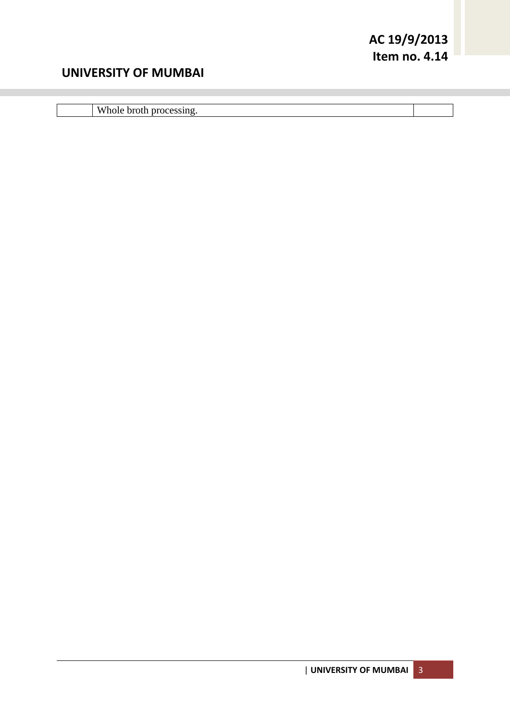## **UNIVERSITY OF MUMBAI**

Whole broth processing.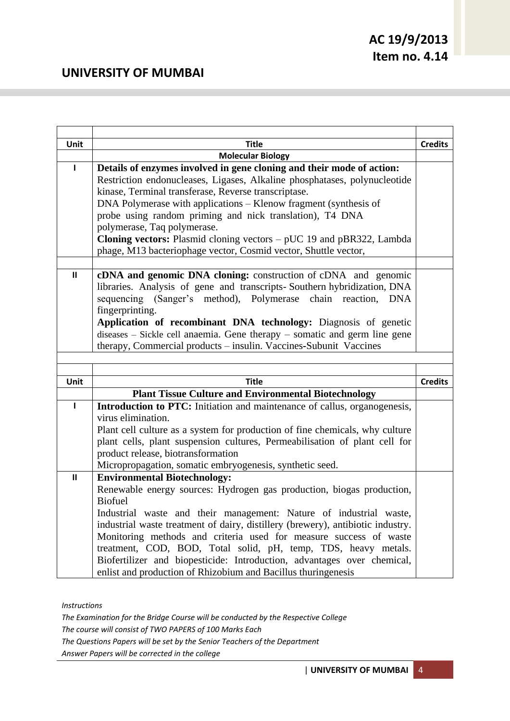| Unit          | <b>Title</b>                                                                    | <b>Credits</b> |
|---------------|---------------------------------------------------------------------------------|----------------|
|               | <b>Molecular Biology</b>                                                        |                |
| ı             | Details of enzymes involved in gene cloning and their mode of action:           |                |
|               | Restriction endonucleases, Ligases, Alkaline phosphatases, polynucleotide       |                |
|               | kinase, Terminal transferase, Reverse transcriptase.                            |                |
|               | DNA Polymerase with applications – Klenow fragment (synthesis of                |                |
|               | probe using random priming and nick translation), T4 DNA                        |                |
|               | polymerase, Taq polymerase.                                                     |                |
|               | <b>Cloning vectors:</b> Plasmid cloning vectors $-$ pUC 19 and pBR322, Lambda   |                |
|               | phage, M13 bacteriophage vector, Cosmid vector, Shuttle vector,                 |                |
|               |                                                                                 |                |
| $\mathbf{II}$ | cDNA and genomic DNA cloning: construction of cDNA and genomic                  |                |
|               | libraries. Analysis of gene and transcripts-Southern hybridization, DNA         |                |
|               | sequencing (Sanger's method), Polymerase chain reaction,<br><b>DNA</b>          |                |
|               | fingerprinting.                                                                 |                |
|               | Application of recombinant DNA technology: Diagnosis of genetic                 |                |
|               | diseases - Sickle cell anaemia. Gene therapy - somatic and germ line gene       |                |
|               | therapy, Commercial products - insulin. Vaccines-Subunit Vaccines               |                |
|               |                                                                                 |                |
|               |                                                                                 |                |
|               |                                                                                 |                |
| Unit          | <b>Title</b>                                                                    | <b>Credits</b> |
|               | <b>Plant Tissue Culture and Environmental Biotechnology</b>                     |                |
| $\mathbf{I}$  | Introduction to PTC: Initiation and maintenance of callus, organogenesis,       |                |
|               | virus elimination.                                                              |                |
|               | Plant cell culture as a system for production of fine chemicals, why culture    |                |
|               | plant cells, plant suspension cultures, Permeabilisation of plant cell for      |                |
|               | product release, biotransformation                                              |                |
|               | Micropropagation, somatic embryogenesis, synthetic seed.                        |                |
| $\mathbf{I}$  | <b>Environmental Biotechnology:</b>                                             |                |
|               | Renewable energy sources: Hydrogen gas production, biogas production,           |                |
|               | <b>Biofuel</b>                                                                  |                |
|               | Industrial waste and their management: Nature of industrial waste,              |                |
|               | industrial waste treatment of dairy, distillery (brewery), antibiotic industry. |                |
|               | Monitoring methods and criteria used for measure success of waste               |                |
|               | treatment, COD, BOD, Total solid, pH, temp, TDS, heavy metals.                  |                |
|               | Biofertilizer and biopesticide: Introduction, advantages over chemical,         |                |

*Instructions*

*The Examination for the Bridge Course will be conducted by the Respective College The course will consist of TWO PAPERS of 100 Marks Each The Questions Papers will be set by the Senior Teachers of the Department*

*Answer Papers will be corrected in the college*